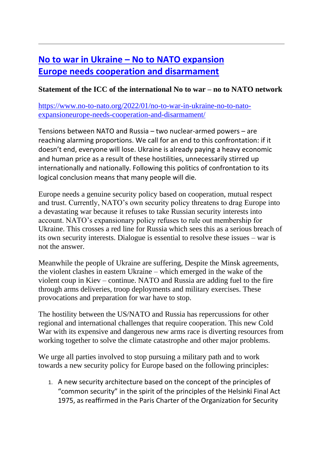## **No to war in Ukraine – [No to NATO expansion](https://www.no-to-nato.org/2022/01/no-to-war-in-ukraine-no-to-nato-expansioneurope-needs-cooperation-and-disarmament/) [Europe needs cooperation and disarmament](https://www.no-to-nato.org/2022/01/no-to-war-in-ukraine-no-to-nato-expansioneurope-needs-cooperation-and-disarmament/)**

## **Statement of the ICC of the international No to war – no to NATO network**

[https://www.no-to-nato.org/2022/01/no-to-war-in-ukraine-no-to-nato](https://www.no-to-nato.org/2022/01/no-to-war-in-ukraine-no-to-nato-expansioneurope-needs-cooperation-and-disarmament/)[expansioneurope-needs-cooperation-and-disarmament/](https://www.no-to-nato.org/2022/01/no-to-war-in-ukraine-no-to-nato-expansioneurope-needs-cooperation-and-disarmament/)

Tensions between NATO and Russia – two nuclear-armed powers – are reaching alarming proportions. We call for an end to this confrontation: if it doesn't end, everyone will lose. Ukraine is already paying a heavy economic and human price as a result of these hostilities, unnecessarily stirred up internationally and nationally. Following this politics of confrontation to its logical conclusion means that many people will die.

Europe needs a genuine security policy based on cooperation, mutual respect and trust. Currently, NATO's own security policy threatens to drag Europe into a devastating war because it refuses to take Russian security interests into account. NATO's expansionary policy refuses to rule out membership for Ukraine. This crosses a red line for Russia which sees this as a serious breach of its own security interests. Dialogue is essential to resolve these issues – war is not the answer.

Meanwhile the people of Ukraine are suffering, Despite the Minsk agreements, the violent clashes in eastern Ukraine – which emerged in the wake of the violent coup in Kiev – continue. NATO and Russia are adding fuel to the fire through arms deliveries, troop deployments and military exercises. These provocations and preparation for war have to stop.

The hostility between the US/NATO and Russia has repercussions for other regional and international challenges that require cooperation. This new Cold War with its expensive and dangerous new arms race is diverting resources from working together to solve the climate catastrophe and other major problems.

We urge all parties involved to stop pursuing a military path and to work towards a new security policy for Europe based on the following principles:

1. A new security architecture based on the concept of the principles of "common security" in the spirit of the principles of the Helsinki Final Act 1975, as reaffirmed in the Paris Charter of the Organization for Security